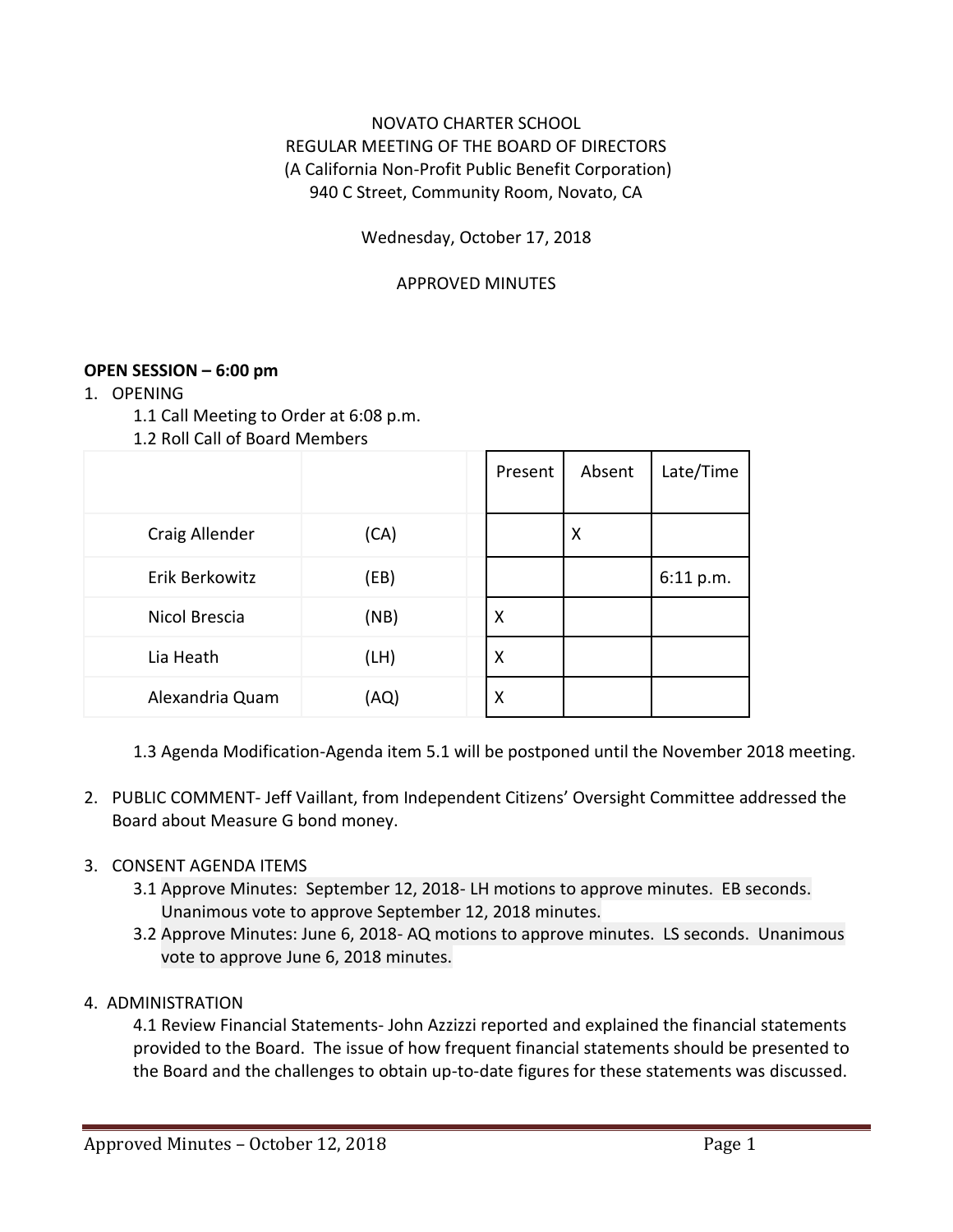# NOVATO CHARTER SCHOOL REGULAR MEETING OF THE BOARD OF DIRECTORS (A California Non-Profit Public Benefit Corporation) 940 C Street, Community Room, Novato, CA

## Wednesday, October 17, 2018

#### APPROVED MINUTES

### **OPEN SESSION – 6:00 pm**

- 1. OPENING
	- 1.1 Call Meeting to Order at 6:08 p.m.
	- 1.2 Roll Call of Board Members

|                 |      | Present | Absent | Late/Time |
|-----------------|------|---------|--------|-----------|
| Craig Allender  | (CA) |         | X      |           |
| Erik Berkowitz  | (EB) |         |        | 6:11 p.m. |
| Nicol Brescia   | (NB) | X       |        |           |
| Lia Heath       | (LH) | X       |        |           |
| Alexandria Quam | (AQ) | Χ       |        |           |

1.3 Agenda Modification-Agenda item 5.1 will be postponed until the November 2018 meeting.

2. PUBLIC COMMENT- Jeff Vaillant, from Independent Citizens' Oversight Committee addressed the Board about Measure G bond money.

### 3. CONSENT AGENDA ITEMS

- 3.1 Approve Minutes: September 12, 2018- LH motions to approve minutes. EB seconds. Unanimous vote to approve September 12, 2018 minutes.
- 3.2 Approve Minutes: June 6, 2018- AQ motions to approve minutes. LS seconds. Unanimous vote to approve June 6, 2018 minutes.

### 4. ADMINISTRATION

4.1 Review Financial Statements- John Azzizzi reported and explained the financial statements provided to the Board. The issue of how frequent financial statements should be presented to the Board and the challenges to obtain up-to-date figures for these statements was discussed.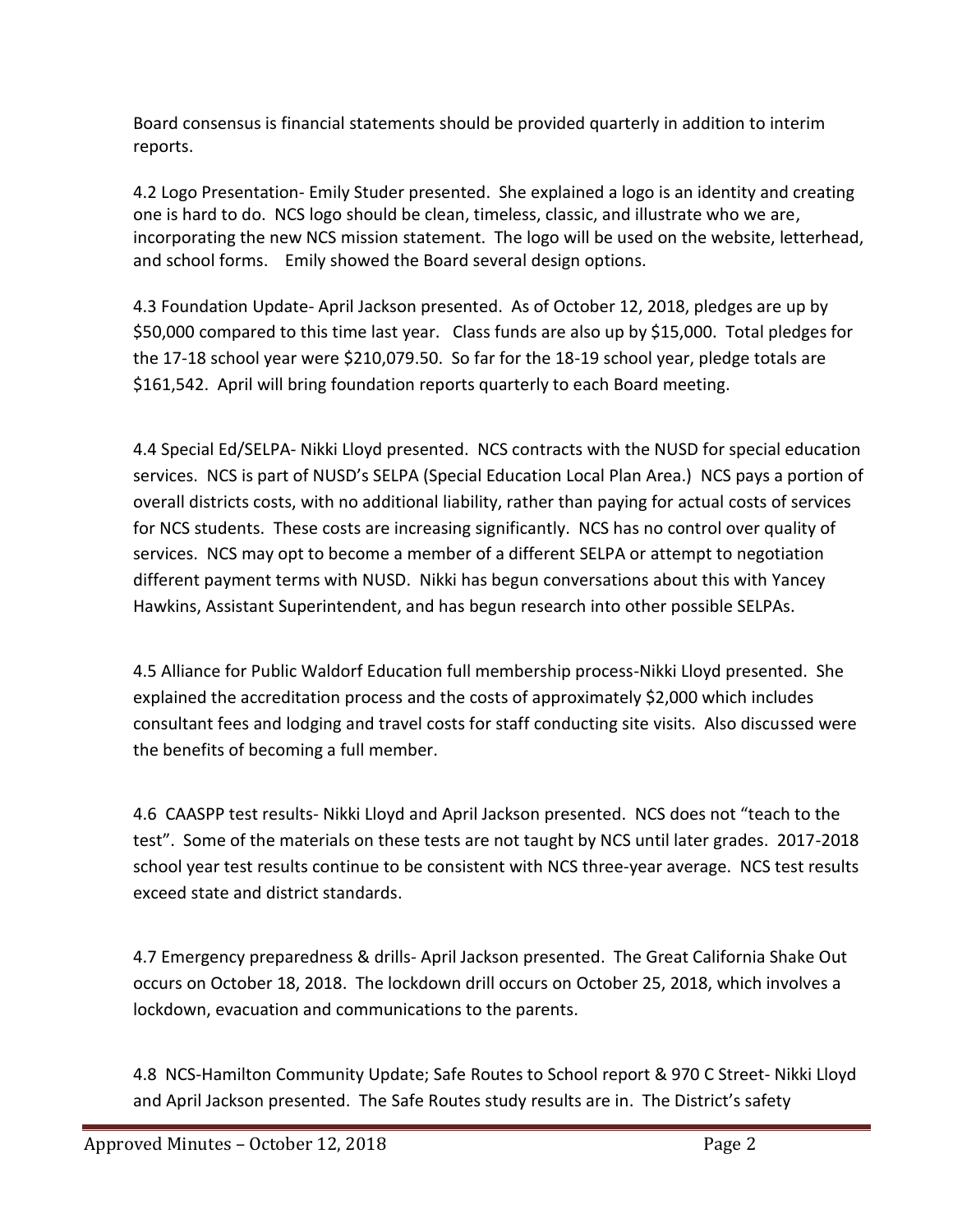Board consensus is financial statements should be provided quarterly in addition to interim reports.

4.2 Logo Presentation- Emily Studer presented. She explained a logo is an identity and creating one is hard to do. NCS logo should be clean, timeless, classic, and illustrate who we are, incorporating the new NCS mission statement. The logo will be used on the website, letterhead, and school forms. Emily showed the Board several design options.

4.3 Foundation Update- April Jackson presented. As of October 12, 2018, pledges are up by \$50,000 compared to this time last year. Class funds are also up by \$15,000. Total pledges for the 17-18 school year were \$210,079.50. So far for the 18-19 school year, pledge totals are \$161,542. April will bring foundation reports quarterly to each Board meeting.

4.4 Special Ed/SELPA- Nikki Lloyd presented. NCS contracts with the NUSD for special education services. NCS is part of NUSD's SELPA (Special Education Local Plan Area.) NCS pays a portion of overall districts costs, with no additional liability, rather than paying for actual costs of services for NCS students. These costs are increasing significantly. NCS has no control over quality of services. NCS may opt to become a member of a different SELPA or attempt to negotiation different payment terms with NUSD. Nikki has begun conversations about this with Yancey Hawkins, Assistant Superintendent, and has begun research into other possible SELPAs.

4.5 Alliance for Public Waldorf Education full membership process-Nikki Lloyd presented. She explained the accreditation process and the costs of approximately \$2,000 which includes consultant fees and lodging and travel costs for staff conducting site visits. Also discussed were the benefits of becoming a full member.

4.6 CAASPP test results- Nikki Lloyd and April Jackson presented. NCS does not "teach to the test". Some of the materials on these tests are not taught by NCS until later grades. 2017-2018 school year test results continue to be consistent with NCS three-year average. NCS test results exceed state and district standards.

4.7 Emergency preparedness & drills- April Jackson presented. The Great California Shake Out occurs on October 18, 2018. The lockdown drill occurs on October 25, 2018, which involves a lockdown, evacuation and communications to the parents.

4.8 NCS-Hamilton Community Update; Safe Routes to School report & 970 C Street- Nikki Lloyd and April Jackson presented. The Safe Routes study results are in. The District's safety